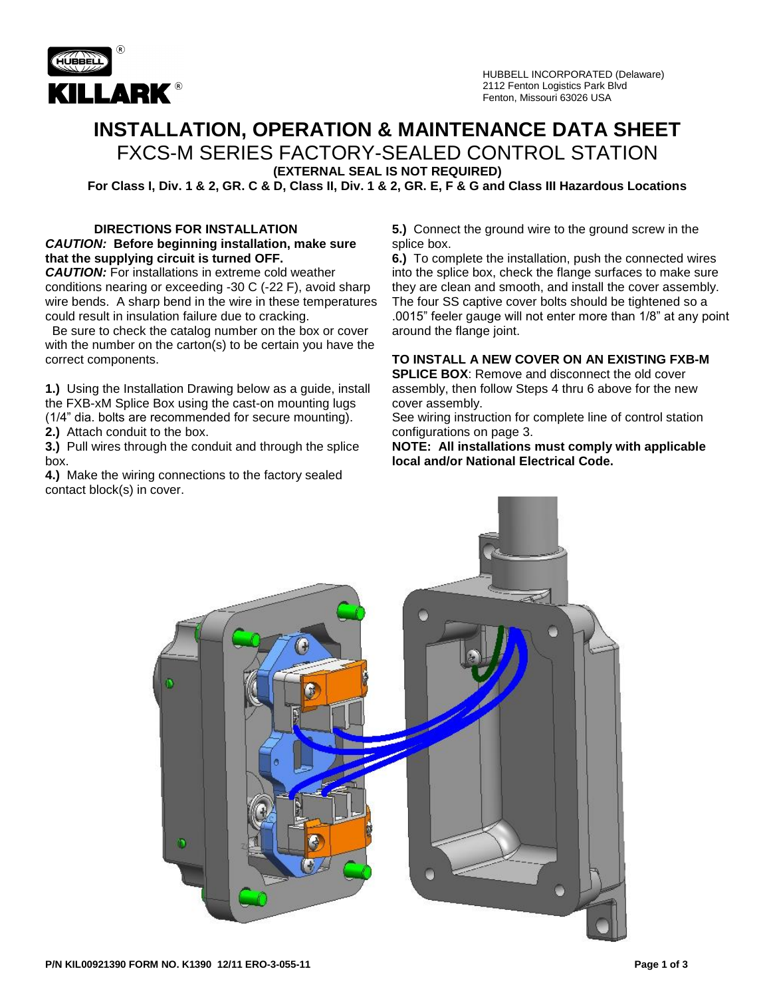

# **INSTALLATION, OPERATION & MAINTENANCE DATA SHEET**

FXCS-M SERIES FACTORY-SEALED CONTROL STATION

**(EXTERNAL SEAL IS NOT REQUIRED)**

**For Class I, Div. 1 & 2, GR. C & D, Class II, Div. 1 & 2, GR. E, F & G and Class III Hazardous Locations**

#### **DIRECTIONS FOR INSTALLATION** *CAUTION:* **Before beginning installation, make sure that the supplying circuit is turned OFF.**

*CAUTION:* For installations in extreme cold weather conditions nearing or exceeding -30 C (-22 F), avoid sharp wire bends. A sharp bend in the wire in these temperatures could result in insulation failure due to cracking.

 Be sure to check the catalog number on the box or cover with the number on the carton(s) to be certain you have the correct components.

**1.)** Using the Installation Drawing below as a guide, install the FXB-xM Splice Box using the cast-on mounting lugs (1/4" dia. bolts are recommended for secure mounting). **2.)** Attach conduit to the box.

**3.)** Pull wires through the conduit and through the splice box.

**4.)** Make the wiring connections to the factory sealed contact block(s) in cover.

**5.)** Connect the ground wire to the ground screw in the splice box.

**6.)** To complete the installation, push the connected wires into the splice box, check the flange surfaces to make sure they are clean and smooth, and install the cover assembly. The four SS captive cover bolts should be tightened so a .0015" feeler gauge will not enter more than 1/8" at any point around the flange joint.

### **TO INSTALL A NEW COVER ON AN EXISTING FXB-M**

**SPLICE BOX:** Remove and disconnect the old cover assembly, then follow Steps 4 thru 6 above for the new cover assembly.

See wiring instruction for complete line of control station configurations on page 3.

**NOTE: All installations must comply with applicable local and/or National Electrical Code.**

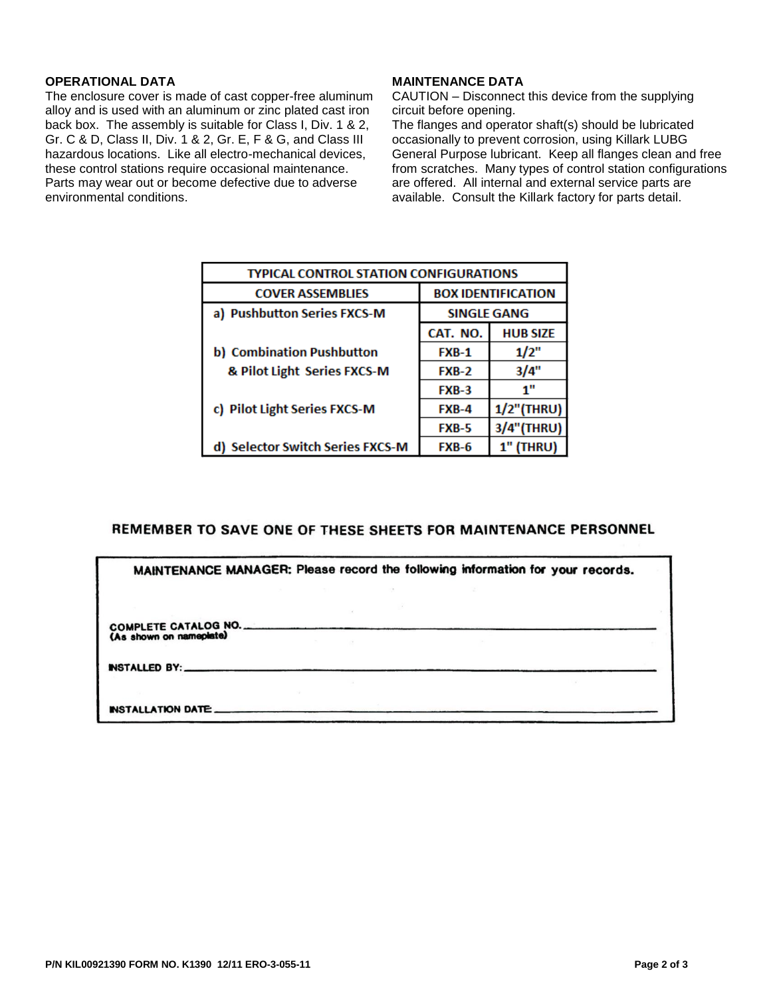#### **OPERATIONAL DATA**

The enclosure cover is made of cast copper-free aluminum alloy and is used with an aluminum or zinc plated cast iron back box. The assembly is suitable for Class I, Div. 1 & 2, Gr. C & D, Class II, Div. 1 & 2, Gr. E, F & G, and Class III hazardous locations. Like all electro-mechanical devices, these control stations require occasional maintenance. Parts may wear out or become defective due to adverse environmental conditions.

#### **MAINTENANCE DATA**

CAUTION – Disconnect this device from the supplying circuit before opening.

The flanges and operator shaft(s) should be lubricated occasionally to prevent corrosion, using Killark LUBG General Purpose lubricant. Keep all flanges clean and free from scratches. Many types of control station configurations are offered. All internal and external service parts are available. Consult the Killark factory for parts detail.

| TYPICAL CONTROL STATION CONFIGURATIONS |                           |                  |  |
|----------------------------------------|---------------------------|------------------|--|
| <b>COVER ASSEMBLIES</b>                | <b>BOX IDENTIFICATION</b> |                  |  |
| a) Pushbutton Series FXCS-M            | <b>SINGLE GANG</b>        |                  |  |
|                                        | CAT. NO.                  | <b>HUB SIZE</b>  |  |
| b) Combination Pushbutton              | <b>FXB-1</b>              | 1/2"             |  |
| & Pilot Light Series FXCS-M            | <b>FXB-2</b>              | 3/4"             |  |
|                                        | <b>FXB-3</b>              | 1"               |  |
| c) Pilot Light Series FXCS-M           | $FXB-4$                   | $1/2$ "(THRU)    |  |
|                                        | <b>FXB-5</b>              | 3/4"(THRU)       |  |
| d) Selector Switch Series FXCS-M       | FXB-6                     | <b>1" (THRU)</b> |  |

## REMEMBER TO SAVE ONE OF THESE SHEETS FOR MAINTENANCE PERSONNEL

| MAINTENANCE MANAGER: Please record the following information for your records. |  |  |  |
|--------------------------------------------------------------------------------|--|--|--|
|                                                                                |  |  |  |
| COMPLETE CATALOG NO.<br>(As shown on nameplate)                                |  |  |  |
| INSTALLED BY:                                                                  |  |  |  |
|                                                                                |  |  |  |
| INSTALLATION DATE                                                              |  |  |  |